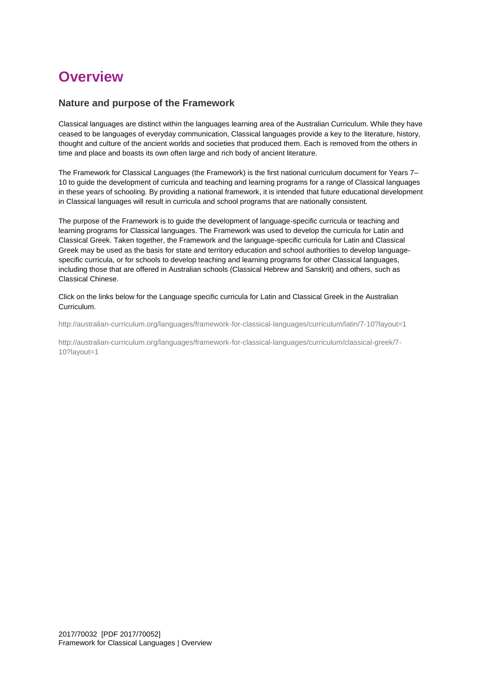# **Overview**

## **Nature and purpose of the Framework**

Classical languages are distinct within the languages learning area of the Australian Curriculum. While they have ceased to be languages of everyday communication, Classical languages provide a key to the literature, history, thought and culture of the ancient worlds and societies that produced them. Each is removed from the others in time and place and boasts its own often large and rich body of ancient literature.

The Framework for Classical Languages (the Framework) is the first national curriculum document for Years 7– 10 to guide the development of curricula and teaching and learning programs for a range of Classical languages in these years of schooling. By providing a national framework, it is intended that future educational development in Classical languages will result in curricula and school programs that are nationally consistent.

The purpose of the Framework is to guide the development of language-specific curricula or teaching and learning programs for Classical languages. The Framework was used to develop the curricula for Latin and Classical Greek. Taken together, the Framework and the language-specific curricula for Latin and Classical Greek may be used as the basis for state and territory education and school authorities to develop languagespecific curricula, or for schools to develop teaching and learning programs for other Classical languages, including those that are offered in Australian schools (Classical Hebrew and Sanskrit) and others, such as Classical Chinese.

Click on the links below for the Language specific curricula for Latin and Classical Greek in the Australian Curriculum.

<http://australian-curriculum.org/languages/framework-for-classical-languages/curriculum/latin/7-10?layout=1>

[http://australian-curriculum.org/languages/framework-for-classical-languages/curriculum/classical-greek/7-](http://australian-curriculum.org/languages/framework-for-classical-languages/curriculum/classical-greek/7-10?layout=1) [10?layout=1](http://australian-curriculum.org/languages/framework-for-classical-languages/curriculum/classical-greek/7-10?layout=1)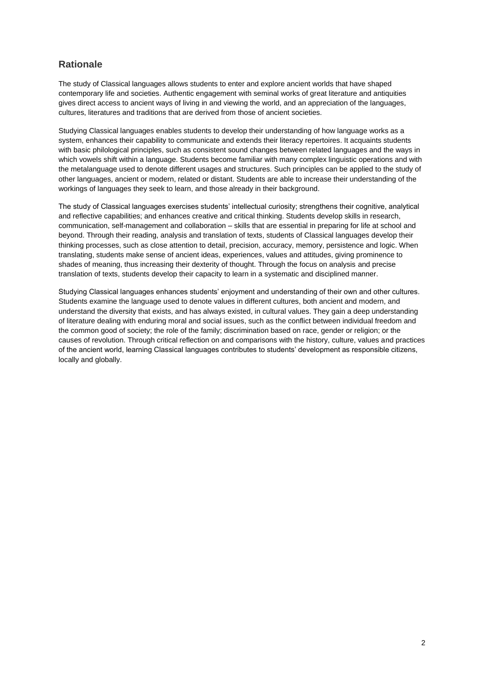## **Rationale**

The study of Classical languages allows students to enter and explore ancient worlds that have shaped contemporary life and societies. Authentic engagement with seminal works of great literature and antiquities gives direct access to ancient ways of living in and viewing the world, and an appreciation of the languages, cultures, literatures and traditions that are derived from those of ancient societies.

Studying Classical languages enables students to develop their understanding of how language works as a system, enhances their capability to communicate and extends their literacy repertoires. It acquaints students with basic philological principles, such as consistent sound changes between related languages and the ways in which vowels shift within a language. Students become familiar with many complex linguistic operations and with the metalanguage used to denote different usages and structures. Such principles can be applied to the study of other languages, ancient or modern, related or distant. Students are able to increase their understanding of the workings of languages they seek to learn, and those already in their background.

The study of Classical languages exercises students' intellectual curiosity; strengthens their cognitive, analytical and reflective capabilities; and enhances creative and critical thinking. Students develop skills in research, communication, self-management and collaboration – skills that are essential in preparing for life at school and beyond. Through their reading, analysis and translation of texts, students of Classical languages develop their thinking processes, such as close attention to detail, precision, accuracy, memory, persistence and logic. When translating, students make sense of ancient ideas, experiences, values and attitudes, giving prominence to shades of meaning, thus increasing their dexterity of thought. Through the focus on analysis and precise translation of texts, students develop their capacity to learn in a systematic and disciplined manner.

Studying Classical languages enhances students' enjoyment and understanding of their own and other cultures. Students examine the language used to denote values in different cultures, both ancient and modern, and understand the diversity that exists, and has always existed, in cultural values. They gain a deep understanding of literature dealing with enduring moral and social issues, such as the conflict between individual freedom and the common good of society; the role of the family; discrimination based on race, gender or religion; or the causes of revolution. Through critical reflection on and comparisons with the history, culture, values and practices of the ancient world, learning Classical languages contributes to students' development as responsible citizens, locally and globally.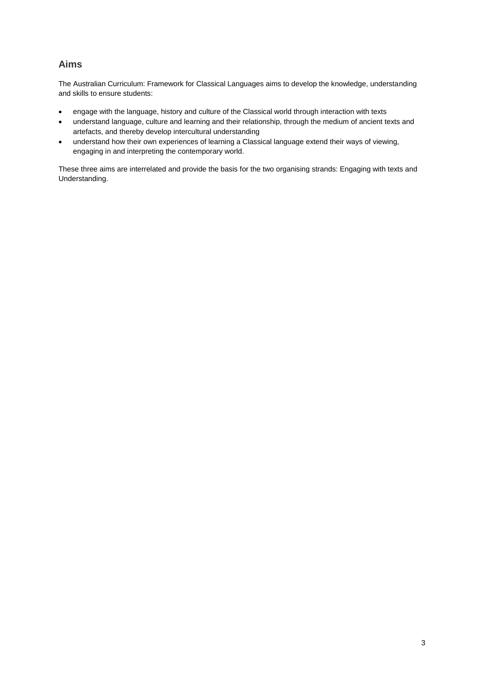# **Aims**

The Australian Curriculum: Framework for Classical Languages aims to develop the knowledge, understanding and skills to ensure students:

- engage with the language, history and culture of the Classical world through interaction with texts
- understand language, culture and learning and their relationship, through the medium of ancient texts and artefacts, and thereby develop intercultural understanding
- understand how their own experiences of learning a Classical language extend their ways of viewing, engaging in and interpreting the contemporary world.

These three aims are interrelated and provide the basis for the two organising strands: Engaging with texts and Understanding.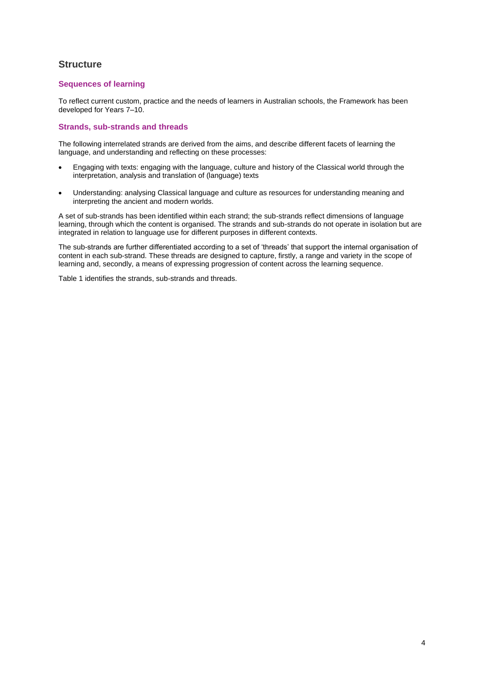## **Structure**

## **Sequences of learning**

To reflect current custom, practice and the needs of learners in Australian schools, the Framework has been developed for Years 7–10.

### **Strands, sub-strands and threads**

The following interrelated strands are derived from the aims, and describe different facets of learning the language, and understanding and reflecting on these processes:

- Engaging with texts: engaging with the language, culture and history of the Classical world through the interpretation, analysis and translation of (language) texts
- Understanding: analysing Classical language and culture as resources for understanding meaning and interpreting the ancient and modern worlds.

A set of sub-strands has been identified within each strand; the sub-strands reflect dimensions of language learning, through which the content is organised. The strands and sub-strands do not operate in isolation but are integrated in relation to language use for different purposes in different contexts.

The sub-strands are further differentiated according to a set of 'threads' that support the internal organisation of content in each sub-strand. These threads are designed to capture, firstly, a range and variety in the scope of learning and, secondly, a means of expressing progression of content across the learning sequence.

Table 1 identifies the strands, sub-strands and threads.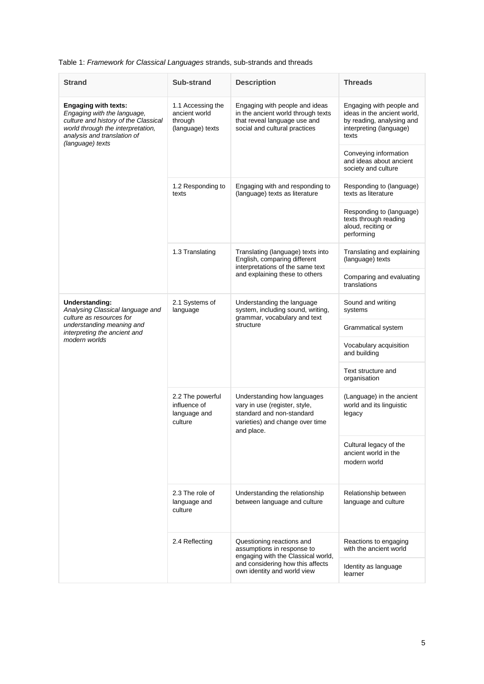## Table 1: *Framework for Classical Languages* strands, sub-strands and threads

| <b>Strand</b>                                                                                                                                                                              | Sub-strand                                                        | <b>Description</b>                                                                                                                                               | <b>Threads</b>                                                                                                           |
|--------------------------------------------------------------------------------------------------------------------------------------------------------------------------------------------|-------------------------------------------------------------------|------------------------------------------------------------------------------------------------------------------------------------------------------------------|--------------------------------------------------------------------------------------------------------------------------|
| <b>Engaging with texts:</b><br>Engaging with the language,<br>culture and history of the Classical<br>world through the interpretation,<br>analysis and translation of<br>(language) texts | 1.1 Accessing the<br>ancient world<br>through<br>(language) texts | Engaging with people and ideas<br>in the ancient world through texts<br>that reveal language use and<br>social and cultural practices                            | Engaging with people and<br>ideas in the ancient world,<br>by reading, analysing and<br>interpreting (language)<br>texts |
|                                                                                                                                                                                            |                                                                   |                                                                                                                                                                  | Conveying information<br>and ideas about ancient<br>society and culture                                                  |
|                                                                                                                                                                                            | 1.2 Responding to<br>texts                                        | Engaging with and responding to<br>(language) texts as literature                                                                                                | Responding to (language)<br>texts as literature                                                                          |
|                                                                                                                                                                                            |                                                                   |                                                                                                                                                                  | Responding to (language)<br>texts through reading<br>aloud, reciting or<br>performing                                    |
|                                                                                                                                                                                            | 1.3 Translating                                                   | Translating (language) texts into<br>English, comparing different<br>interpretations of the same text<br>and explaining these to others                          | Translating and explaining<br>(language) texts                                                                           |
|                                                                                                                                                                                            |                                                                   |                                                                                                                                                                  | Comparing and evaluating<br>translations                                                                                 |
| <b>Understanding:</b><br>Analysing Classical language and<br>culture as resources for<br>understanding meaning and<br>interpreting the ancient and<br>modern worlds                        | 2.1 Systems of<br>language                                        | Understanding the language<br>system, including sound, writing,<br>grammar, vocabulary and text<br>structure                                                     | Sound and writing<br>systems                                                                                             |
|                                                                                                                                                                                            |                                                                   |                                                                                                                                                                  | Grammatical system                                                                                                       |
|                                                                                                                                                                                            |                                                                   |                                                                                                                                                                  | Vocabulary acquisition<br>and building                                                                                   |
|                                                                                                                                                                                            |                                                                   |                                                                                                                                                                  | Text structure and<br>organisation                                                                                       |
|                                                                                                                                                                                            | 2.2 The powerful<br>influence of<br>language and<br>culture       | Understanding how languages<br>vary in use (register, style,<br>standard and non-standard<br>varieties) and change over time<br>and place.                       | (Language) in the ancient<br>world and its linguistic<br>legacy                                                          |
|                                                                                                                                                                                            |                                                                   |                                                                                                                                                                  | Cultural legacy of the<br>ancient world in the<br>modern world                                                           |
|                                                                                                                                                                                            | 2.3 The role of<br>language and<br>culture                        | Understanding the relationship<br>between language and culture                                                                                                   | Relationship between<br>language and culture                                                                             |
|                                                                                                                                                                                            | 2.4 Reflecting                                                    | Questioning reactions and<br>assumptions in response to<br>engaging with the Classical world,<br>and considering how this affects<br>own identity and world view | Reactions to engaging<br>with the ancient world                                                                          |
|                                                                                                                                                                                            |                                                                   |                                                                                                                                                                  | Identity as language<br>learner                                                                                          |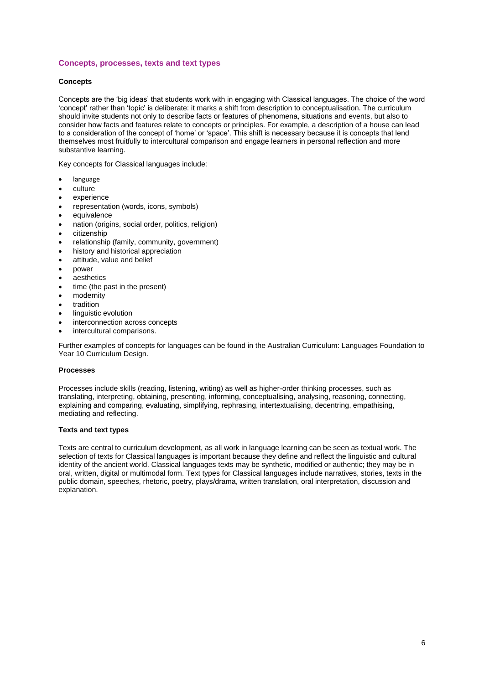## **Concepts, processes, texts and text types**

#### **Concepts**

Concepts are the 'big ideas' that students work with in engaging with Classical languages. The choice of the word 'concept' rather than 'topic' is deliberate: it marks a shift from description to conceptualisation. The curriculum should invite students not only to describe facts or features of phenomena, situations and events, but also to consider how facts and features relate to concepts or principles. For example, a description of a house can lead to a consideration of the concept of 'home' or 'space'. This shift is necessary because it is concepts that lend themselves most fruitfully to intercultural comparison and engage learners in personal reflection and more substantive learning.

Key concepts for Classical languages include:

- language
- culture
- experience
- representation (words, icons, symbols)
- equivalence
- nation (origins, social order, politics, religion)
- citizenship
- relationship (family, community, government)
- history and historical appreciation
- attitude, value and belief
- power
- aesthetics
- time (the past in the present)
- modernity
- tradition
- linguistic evolution
- interconnection across concepts
- intercultural comparisons.

Further examples of concepts for languages can be found in the [Australian Curriculum: Languages Foundation to](http://www.acara.edu.au/verve/_resources/Australian_Curriculum_Languages__F_-_10_curriculum_design__10_Dec.pdf)  [Year 10 Curriculum Design.](http://www.acara.edu.au/verve/_resources/Australian_Curriculum_Languages__F_-_10_curriculum_design__10_Dec.pdf)

#### **Processes**

Processes include skills (reading, listening, writing) as well as higher-order thinking processes, such as translating, interpreting, obtaining, presenting, informing, conceptualising, analysing, reasoning, connecting, explaining and comparing, evaluating, simplifying, rephrasing, intertextualising, decentring, empathising, mediating and reflecting.

#### **Texts and text types**

Texts are central to curriculum development, as all work in language learning can be seen as textual work. The selection of texts for Classical languages is important because they define and reflect the linguistic and cultural identity of the ancient world. Classical languages texts may be synthetic, modified or authentic; they may be in oral, written, digital or multimodal form. Text types for Classical languages include narratives, stories, texts in the public domain, speeches, rhetoric, poetry, plays/drama, written translation, oral interpretation, discussion and explanation.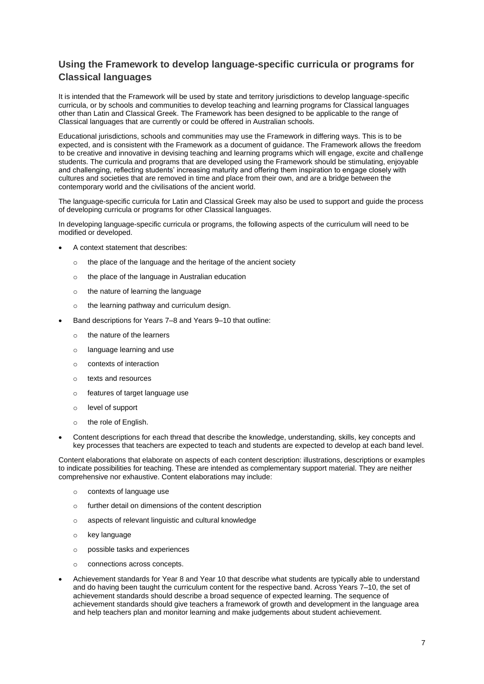# **Using the Framework to develop language-specific curricula or programs for Classical languages**

It is intended that the Framework will be used by state and territory jurisdictions to develop language-specific curricula, or by schools and communities to develop teaching and learning programs for Classical languages other than Latin and Classical Greek. The Framework has been designed to be applicable to the range of Classical languages that are currently or could be offered in Australian schools.

Educational jurisdictions, schools and communities may use the Framework in differing ways. This is to be expected, and is consistent with the Framework as a document of guidance. The Framework allows the freedom to be creative and innovative in devising teaching and learning programs which will engage, excite and challenge students. The curricula and programs that are developed using the Framework should be stimulating, enjoyable and challenging, reflecting students' increasing maturity and offering them inspiration to engage closely with cultures and societies that are removed in time and place from their own, and are a bridge between the contemporary world and the civilisations of the ancient world.

The language-specific curricula for Latin and Classical Greek may also be used to support and guide the process of developing curricula or programs for other Classical languages.

In developing language-specific curricula or programs, the following aspects of the curriculum will need to be modified or developed.

- A context statement that describes:
	- o the place of the language and the heritage of the ancient society
	- o the place of the language in Australian education
	- o the nature of learning the language
	- o the learning pathway and curriculum design.
- Band descriptions for Years 7–8 and Years 9–10 that outline:
	- o the nature of the learners
	- o language learning and use
	- o contexts of interaction
	- o texts and resources
	- o features of target language use
	- o level of support
	- o the role of English.
- Content descriptions for each thread that describe the knowledge, understanding, skills, key concepts and key processes that teachers are expected to teach and students are expected to develop at each band level.

Content elaborations that elaborate on aspects of each content description: illustrations, descriptions or examples to indicate possibilities for teaching. These are intended as complementary support material. They are neither comprehensive nor exhaustive. Content elaborations may include:

- o contexts of language use
- o further detail on dimensions of the content description
- o aspects of relevant linguistic and cultural knowledge
- o key language
- o possible tasks and experiences
- o connections across concepts.
- Achievement standards for Year 8 and Year 10 that describe what students are typically able to understand and do having been taught the curriculum content for the respective band. Across Years 7–10, the set of achievement standards should describe a broad sequence of expected learning. The sequence of achievement standards should give teachers a framework of growth and development in the language area and help teachers plan and monitor learning and make judgements about student achievement.